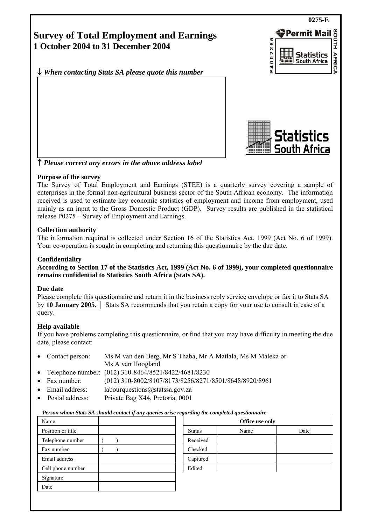**0275-E**  SOUTH Permit Mail **Survey of Total Employment and Earnings**   $\ddot{\circ}$ **1 October 2004 to 31 December 2004**  40022 **Statistics AFRICA** South Africa ↓ *When contacting Stats SA please quote this number* آھ

Statistics

**South Africa** 

↑ *Please correct any errors in the above address label*

## **Purpose of the survey**

The Survey of Total Employment and Earnings (STEE) is a quarterly survey covering a sample of enterprises in the formal non-agricultural business sector of the South African economy. The information received is used to estimate key economic statistics of employment and income from employment, used mainly as an input to the Gross Domestic Product (GDP). Survey results are published in the statistical release P0275 – Survey of Employment and Earnings.

## **Collection authority**

The information required is collected under Section 16 of the Statistics Act, 1999 (Act No. 6 of 1999). Your co-operation is sought in completing and returning this questionnaire by the due date.

## **Confidentiality**

**According to Section 17 of the Statistics Act, 1999 (Act No. 6 of 1999), your completed questionnaire remains confidential to Statistics South Africa (Stats SA).** 

### **Due date**

Please complete this questionnaire and return it in the business reply service envelope or fax it to Stats SA by **10 January 2005.** Stats SA recommends that you retain a copy for your use to consult in case of a query.

## **Help available**

If you have problems completing this questionnaire, or find that you may have difficulty in meeting the due date, please contact:

- Contact person: Ms M van den Berg, Mr S Thaba, Mr A Matlala, Ms M Maleka or Ms A van Hoogland
- Telephone number: (012) 310-8464/8521/8422/4681/8230
- Fax number: (012) 310-8002/8107/8173/8256/8271/8501/8648/8920/8961
- Email address: labourquestions@statssa.gov.za
- Postal address: Private Bag X44, Pretoria, 0001

#### *Person whom Stats SA should contact if any queries arise regarding the completed questionnaire*

| Name              |               | Office use only |      |
|-------------------|---------------|-----------------|------|
| Position or title | <b>Status</b> | Name            | Date |
| Telephone number  | Received      |                 |      |
| Fax number        | Checked       |                 |      |
| Email address     | Captured      |                 |      |
| Cell phone number | Edited        |                 |      |
| Signature         |               |                 |      |
| Date              |               |                 |      |
|                   |               |                 |      |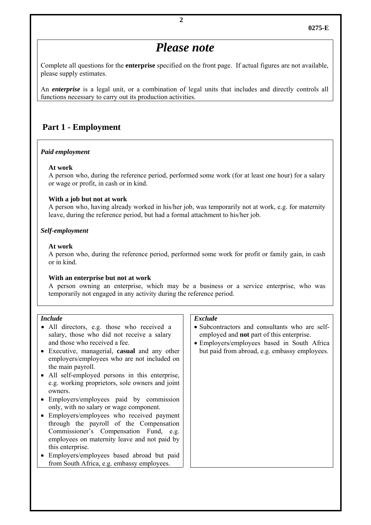# *Please note*

Complete all questions for the **enterprise** specified on the front page. If actual figures are not available, please supply estimates.

An *enterprise* is a legal unit, or a combination of legal units that includes and directly controls all functions necessary to carry out its production activities.

# **Part 1 - Employment**

#### *Paid employment*

#### **At work**

 A person who, during the reference period, performed some work (for at least one hour) for a salary or wage or profit, in cash or in kind.

#### **With a job but not at work**

 A person who, having already worked in his/her job, was temporarily not at work, e.g. for maternity leave, during the reference period, but had a formal attachment to his/her job.

#### *Self-employment*

#### **At work**

 A person who, during the reference period, performed some work for profit or family gain, in cash or in kind.

#### **With an enterprise but not at work**

 A person owning an enterprise, which may be a business or a service enterprise, who was temporarily not engaged in any activity during the reference period.

#### *Include*

- All directors, e.g. those who received a salary, those who did not receive a salary and those who received a fee.
- Executive, managerial, **casual** and any other employers/employees who are not included on the main payroll.
- All self-employed persons in this enterprise, e.g. working proprietors, sole owners and joint owners.
- Employers/employees paid by commission only, with no salary or wage component.
- Employers/employees who received payment through the payroll of the Compensation Commissioner's Compensation Fund, e.g. employees on maternity leave and not paid by this enterprise.
- Employers/employees based abroad but paid from South Africa, e.g. embassy employees.

#### *Exclude*

- Subcontractors and consultants who are selfemployed and **not** part of this enterprise.
- Employers/employees based in South Africa but paid from abroad, e.g. embassy employees.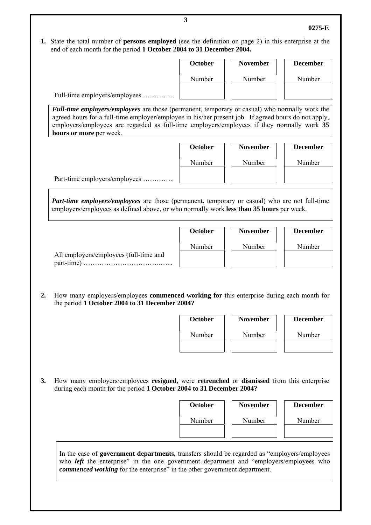**1.** State the total number of **persons employed** (see the definition on page 2) in this enterprise at the end of each month for the period **1 October 2004 to 31 December 2004.**

|                                                                                                                                                                                                                                                                                                                                 | Number  | Number          | Number                                       |
|---------------------------------------------------------------------------------------------------------------------------------------------------------------------------------------------------------------------------------------------------------------------------------------------------------------------------------|---------|-----------------|----------------------------------------------|
| Full-time employers/employees                                                                                                                                                                                                                                                                                                   |         |                 |                                              |
| Full-time employers/employees are those (permanent, temporary or casual) who normally work the<br>agreed hours for a full-time employer/employee in his/her present job. If agreed hours do not apply,<br>employers/employees are regarded as full-time employers/employees if they normally work 35<br>hours or more per week. |         |                 |                                              |
|                                                                                                                                                                                                                                                                                                                                 | October | <b>November</b> | <b>December</b>                              |
|                                                                                                                                                                                                                                                                                                                                 | Number  | Number          | Number                                       |
| Part-time employers/employees                                                                                                                                                                                                                                                                                                   |         |                 |                                              |
| <b>Part-time employers/employees</b> are those (permanent, temporary or casual) who are not full-time<br>employers/employees as defined above, or who normally work less than 35 hours per week.                                                                                                                                |         |                 |                                              |
|                                                                                                                                                                                                                                                                                                                                 | October | <b>November</b> | <b>December</b>                              |
| All employers/employees (full-time and                                                                                                                                                                                                                                                                                          | Number  | Number          | Number                                       |
|                                                                                                                                                                                                                                                                                                                                 |         |                 |                                              |
|                                                                                                                                                                                                                                                                                                                                 |         |                 |                                              |
| How many employers/employees commenced working for this enterprise during each month for<br>the period 1 October 2004 to 31 December 2004?                                                                                                                                                                                      | October | <b>November</b> |                                              |
|                                                                                                                                                                                                                                                                                                                                 | Number  | Number          | Number                                       |
|                                                                                                                                                                                                                                                                                                                                 |         |                 |                                              |
| How many employers/employees resigned, were retrenched or dismissed from this enterprise<br>during each month for the period 1 October 2004 to 31 December 2004?                                                                                                                                                                |         |                 |                                              |
|                                                                                                                                                                                                                                                                                                                                 | October | <b>November</b> |                                              |
|                                                                                                                                                                                                                                                                                                                                 | Number  | Number          | <b>December</b><br><b>December</b><br>Number |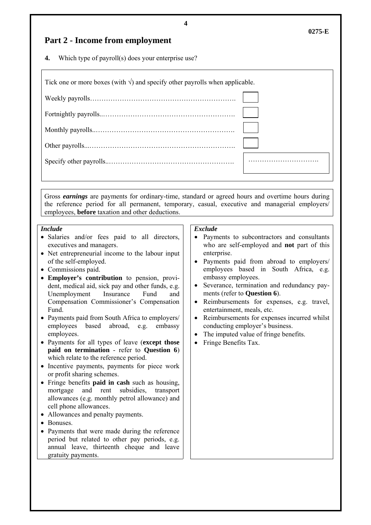# **Part 2 - Income from employment**

**4.** Which type of payroll(s) does your enterprise use?

| Tick one or more boxes (with $\sqrt{ }$ ) and specify other payrolls when applicable. |  |
|---------------------------------------------------------------------------------------|--|
|                                                                                       |  |
|                                                                                       |  |
|                                                                                       |  |
|                                                                                       |  |
|                                                                                       |  |

Gross *earnings* are payments for ordinary-time, standard or agreed hours and overtime hours during the reference period for all permanent, temporary, casual, executive and managerial employers/ employees, **before** taxation and other deductions.

#### *Include*

- Salaries and/or fees paid to all directors, executives and managers.
- Net entrepreneurial income to the labour input of the self-employed.
- Commissions paid.
- **Employer's contribution** to pension, provident, medical aid, sick pay and other funds, e.g. Unemployment Insurance Fund and Compensation Commissioner's Compensation Fund.
- Payments paid from South Africa to employers/ employees based abroad, e.g. embassy employees.
- Payments for all types of leave (**except those paid on termination** - refer to **Question 6**) which relate to the reference period.
- Incentive payments, payments for piece work or profit sharing schemes.
- Fringe benefits **paid in cash** such as housing, mortgage and rent subsidies, transport allowances (e.g. monthly petrol allowance) and cell phone allowances.
- Allowances and penalty payments.
- Bonuses.
- Payments that were made during the reference period but related to other pay periods, e.g. annual leave, thirteenth cheque and leave gratuity payments.

#### *Exclude*

- Payments to subcontractors and consultants who are self-employed and **not** part of this enterprise.
- Payments paid from abroad to employers/ employees based in South Africa, e.g. embassy employees.
- Severance, termination and redundancy payments (refer to **Question 6**).
- Reimbursements for expenses, e.g. travel, entertainment, meals, etc.
- Reimbursements for expenses incurred whilst conducting employer's business.
- The imputed value of fringe benefits.
- Fringe Benefits Tax.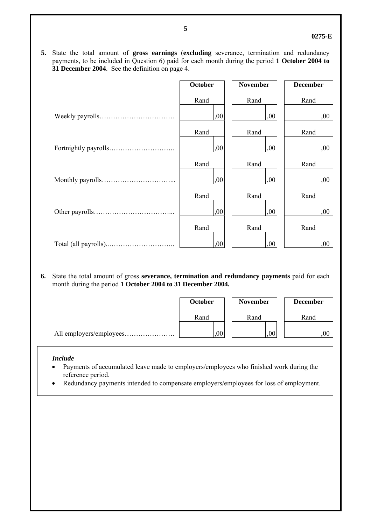#### **0275-E**

**5.** State the total amount of **gross earnings** (**excluding** severance, termination and redundancy payments, to be included in Question 6) paid for each month during the period **1 October 2004 to 31 December 2004**. See the definition on page 4.

| <b>October</b> | <b>November</b> | <b>December</b> |
|----------------|-----------------|-----------------|
| Rand           | Rand            | Rand            |
| ,00            | ,00             | ,00             |
| Rand           | Rand            | Rand            |
| ,00            | 00,             | ,00             |
| Rand           | Rand            | Rand            |
| .00            | .00.            | ,00             |
| Rand           | Rand            | Rand            |
| .00            | ,00             | ,00             |
| Rand           | Rand            | Rand            |
| 00,            | ,00             | ,00             |

**6.** State the total amount of gross **severance, termination and redundancy payments** paid for each month during the period **1 October 2004 to 31 December 2004.** 

| <b>October</b> | <b>November</b> | <b>December</b> |
|----------------|-----------------|-----------------|
| Rand           | Rand            | Rand            |
| ,00            | 00              | 00,             |

#### *Include*

- Payments of accumulated leave made to employers/employees who finished work during the reference period.
- Redundancy payments intended to compensate employers/employees for loss of employment.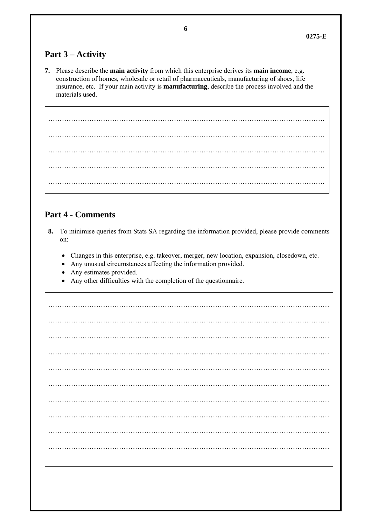# **Part 3 – Activity**

**7.** Please describe the **main activity** from which this enterprise derives its **main income**, e.g. construction of homes, wholesale or retail of pharmaceuticals, manufacturing of shoes, life insurance, etc. If your main activity is **manufacturing**, describe the process involved and the materials used.

…………………………………………………………………………………………………………. …………………………………………………………………………………………………………. …………………………………………………………………………………………………………. …………………………………………………………………………………………………………. ………………………………………………………………………………………………………….

# **Part 4 - Comments**

- **8.** To minimise queries from Stats SA regarding the information provided, please provide comments on:
	- Changes in this enterprise, e.g. takeover, merger, new location, expansion, closedown, etc.
	- Any unusual circumstances affecting the information provided.
	- Any estimates provided.
	- Any other difficulties with the completion of the questionnaire.